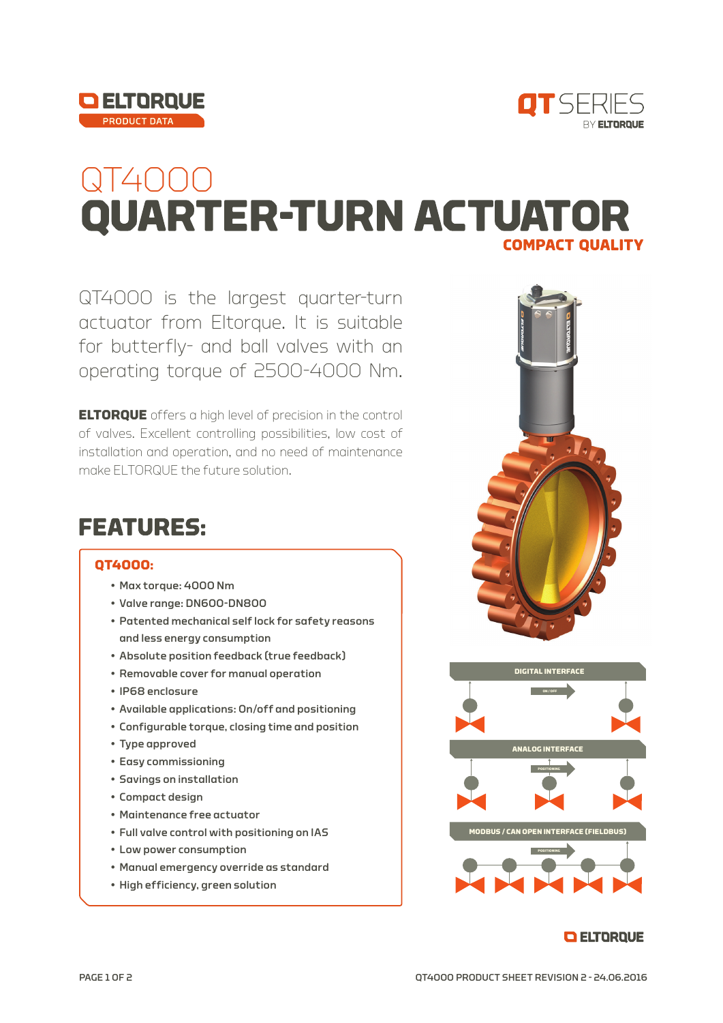



# QT4000<br>QUARTER-TURN ACTUATOR **COMPACT QUALITY**

QT4000 is the largest quarter-turn actuator from Eltorque. It is suitable for butterfly- and ball valves with an operating torque of 2500-4000 Nm.

**ELTORQUE** offers a high level of precision in the control of valves. Excellent controlling possibilities, low cost of installation and operation, and no need of maintenance make ELTORQUE the future solution.

### **FEATURES:**

#### **QT4000:**

- Max torque: 4000 Nm
- Valve range: DN600-DN800
- Patented mechanical self lock for safety reasons and less energy consumption
- Absolute position feedback (true feedback)
- Removable cover for manual operation
- IP68 enclosure
- Available applications: On/off and positioning
- Configurable torque, closing time and position
- Type approved
- Easy commissioning
- Savings on installation
- Compact design
- Maintenance free actuator
- Full valve control with positioning on IAS
- Low power consumption
- Manual emergency override as standard
- High efficiency, green solution





#### **O ELTORQUE**